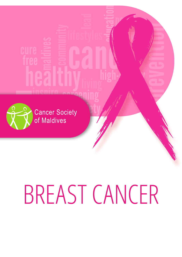

# BREAST CANCER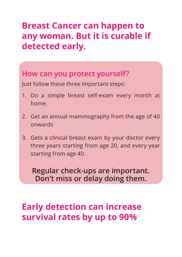# **Breast Cancer can happen to any woman. But it is curable if detected early.**

#### **How can you protect yourself?**

Just follow these three important steps:

- 1. Do a simple breast self-exam every month at home.
- 2. Get an annual mammography from the age of 40 onwards
- 3. Gets a clinical breast exam by your doctor every three years starting from age 20, and every year starting from age 40.

**Regular check-ups are important. Don't miss or delay doing them.**

# **Early detection can increase survival rates by up to 90%**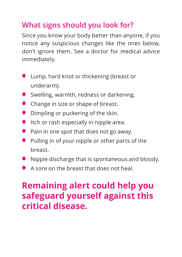# **What signs should you look for?**

Since you know your body better than anyone, if you notice any suspicious changes like the ones below, don't ignore them. See a doctor for medical advice immediately.

- **•**  Lump, hard knot or thickening (breast or underarm).
- **•** Swelling, warmth, redness or darkening.
- **•** Change in size or shape of breast.
- **•** Dimpling or puckering of the skin.
- **•** Itch or rash especially in nipple area.
- **•** Pain in one spot that does not go away.
- **•**  Pulling in of your nipple or other parts of the breast.
- **•** Nipple discharge that is spontaneous and bloody.
- **•** A sore on the breast that does not heal.

# **Remaining alert could help you safeguard yourself against this critical disease.**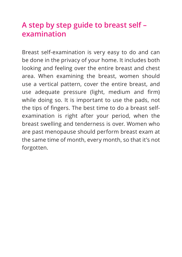# **A step by step guide to breast self – examination**

Breast self-examination is very easy to do and can be done in the privacy of your home. It includes both looking and feeling over the entire breast and chest area. When examining the breast, women should use a vertical pattern, cover the entire breast, and use adequate pressure (light, medium and firm) while doing so. It is important to use the pads, not the tips of fingers. The best time to do a breast selfexamination is right after your period, when the breast swelling and tenderness is over. Women who are past menopause should perform breast exam at the same time of month, every month, so that it's not forgotten.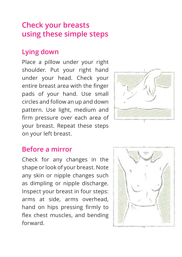# **Check your breasts using these simple steps**

### **Lying down**

Place a pillow under your right shoulder. Put your right hand under your head. Check your entire breast area with the finger pads of your hand. Use small circles and follow an up and down pattern. Use light, medium and firm pressure over each area of your breast. Repeat these steps on your left breast.



#### **Before a mirror**

Check for any changes in the shape or look of your breast. Note any skin or nipple changes such as dimpling or nipple discharge. Inspect your breast in four steps: arms at side, arms overhead, hand on hips pressing firmly to flex chest muscles, and bending forward.

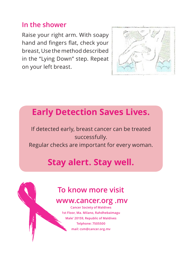#### **In the shower**

Raise your right arm. With soapy hand and fingers flat, check your breast, Use the method described in the "Lying Down" step. Repeat on your left breast.



# **Early Detection Saves Lives.**

If detected early, breast cancer can be treated successfully.

Regular checks are important for every woman.

# **Stay alert. Stay well.**

# **To know more visit**

#### **www.cancer.org .mv**

**Cancer Society of Maldives 1st Floor, Ma. Milano, Rahdhebaimagu Male' 20159, Republic of Maldives Telphone: 7505500 mail: csm@cancer.org.mv**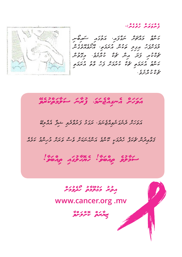

ކަނާތް މައްޗަށް ނަގާފައ،ި އަތުގައި ސައިބޯނި <del></del> دی و دی دون<br>کونونو کوئی میں کونو نورسو وی م ކަނާތު އުރަމަތި ޗެކް ކުރުމަށް ފަހު ވާތު އުރަމަތި ޗެ ކް ކު ރާ ށެ ވެ .

ۇمرە بىر بىر ئىبر:-<br>ۋىر *و*غرىر ئىبر كىبر:-

*އަވަހަށް އެނގިއްޖެނަމ،ަ ފުރާނަ ސަލާމަތްކުރެވޭ*  އަވަހަށް ދެނެގަނެވިއްޖެނަމ،ަ ރަގަޅު ފަރުވާދެވި ޝިފާ އެއްލިބޭ ޤަވާޢިދުން ޗެކަޕް ހެދުމަކީ ކޮންމެ އަންހެނަކަށް ވެސް ވަރަށް މުހިންމު ކަމެއް حرکودی ورد | عدد حرکت محدود الله عدد الله عدد الله عدد الله عدد الله عدد الله عدد الله عدد الله عدد الله عدد ا<br>الله عدد الله عدد الله عدد الله عدد الله عدد الله عدد الله عليه الله عليه الله عدد الله عدد الله عدد الله عدد

#### *އިތުރު މަޢުލޫމާތު ހޯދެވުމަށް*

#### **www.cancer.org .mv**

*ޒިޔާރަތް ކޮށްލަށްވާ*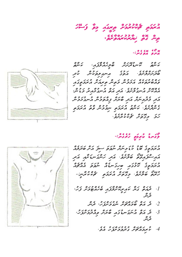# *އުރަމަތި ޗެކްކުރުމަށް ތިރީގައި މިވާ ފަސޭހަ ތިން ގޮތް ޚިޔާރުކުރައްވާށެވ.ެ*

 $\frac{1}{2}$ ,  $\frac{1}{2}$ ,  $\frac{1}{2}$ ,  $\frac{1}{2}$ ,  $\frac{1}{2}$ 

ކަނާތު ކޮނޑުދޮށަށް ބާލީހެއްލާފައ،ި ކަނާތް ټ د د د د د د د د د<br>حوترمرومو. د موی مسروموناس ناتر ה 2010 ב 129 ב הגם 119 ב הגם 119 ב הגבת 119 ב הג<br>סירושי 119 ב איז בייני 119 ב ייני 119 ב 119 ב 119 ב 119 ב 11 އެއްކޮށް އުނގުލާށެވ.ެ އަދި އަތް އުނގުޅާއިރު މަޑުނ،ް دو ووروه در ده در وه در ده وروه<br>دور وتروننزر دور ځیزنز و درووننز دسربر دوس ގެންދާށެވ.ެ ކަނާތު އުރަމަތި ނިމުމުން ވާތު އުރަމަތި رز مدد دوره دوره در<br>کرک وی کور کار مورد دور



އުރަމަތީގެ ބޮޑު ކުޑަމިނަށް ނުވަތަ ސިފަ އަށް ބަދަލެއް کر دی دی دی کرد.<br>مدرسوموی صوری کرد کرد کرد کرد. ح د د د د د د د د د د ده ده ده ده ده.<br>د درج د د د د د د د داد داد داد داد حِمِی دَونِی عَمَرَ ہِ دِمِ دَرِ دِمِی کَمَ الْمَرْضِ -<br>رَحِمَٰنِ صَوَّسِ الْمَرَى الْمَحْرَى الْمَرَامَةِ الْمُرَضَّى الْمُرَامَةِ الْمَرْضَى

- .1 2010 م.م. 2020 م.م.<br>1 ترجيد 10 كيريمبر برقرق مار مارس كربر، ی ه<br>ترس
	- .2 ދެ އަތް ބޯމައްޗަށް ނެގުމަށްފަހ،ު ދެން
- $3$ .  $\,$ 3.  $\,$ 3.  $\,$ 3. م $\,$ 9. م $\,$ 9. م $\,$ 9. م $\,$ 9. م $\,$ 3. م $\,$ 7. م $\,$ 9. م $\,$ 7.  $\,$ 3.  $\,$ 5.  $\,$ 5.  $\,$ 7.  $\,$ 7.  $\,$ 7.  $\,$ 7.  $\,$ 7.  $\,$ 7.  $\,$ 7.  $\,$ 7.  $\,$ 7.  $\,$ 7.  $\,$ 7.  $\,$ 7.  $\,$ 7.  $\,$ 7.  $\,$ 7.  $\,$ ء<br>تربىر
	- .4 ކުރިމައްޗަށް ގުދުވުމަށްފަހު އެވ.ެ



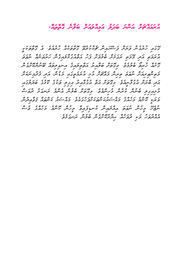*އުރަމައްޗަށް އަންނަ ބަދަލު އަމިއްލައަށް ބަލާނެ ގޮތްތައ.ް*

ގޭގައި ހުރެގެން ވަރަށް ފަސޭހައިން ޗެކްކުރެވޭ ގޮތްތަކެއް ހުރެއެވ.ެ އެ ގޮތްތަކަކީ כנג גע גוד גוגם גובר גם בכפיג גם גבוגנס בנג<br>הזבקים האי, בכים זוגילית סי*בבית <sub>ב</sub>י* הים הגודילי*בהג*יי מזקיימה יינסים ގޮށެއް ހުރިތޯ ބެލުމެވ.ެ މިގޮތަށް ބަލާއިރު އަތްތިލައިގެ އިނގިލިތައް ބޭނުންކޮށްގެން י כי גם ביני כי גום כי כנגן גום כי גום בינים בינים<br>בפייס: יטרי יוסים פינייני בהליכי ביל היטרים: בהיני הנג בנקבייטות ﮐﺮ ﮐﺮﻩ ﺩﻭﮐﻪ ﺩﺩﻩ ﺩﻩ ﺩﻭﻭ ﺩﻭ ﺩﻭﺩﻩ ﺩﻭﺩﻩ ﺩﻭﺩﻩ ﺩﺭﻭﺭ<br>ټرنس ځمرس پروترس پره د دې د پروتر ټرې پروتر څرند کلند ځمرنژو پر <<br>حغرمہوں صحیح سے مختلف حرکوں صحیح مسجد مختلف تروپ<br>حغرمہوں صحیح سے مختلف حرکوں صحیحی مسجد مختلف تروپ ינג בכם גם כם גם גם גבר המסגבות בכל בסיטים בכל המשתלת.<br>המיני מיינדי במהוד בחי המטיים של המחיר: בחי המיינד מיינדון בפוטיטית ނުޖެހޭ މީހުން ނުވަތަ އިއްދައިން ކެނޑިފައިވާ މީހުން ކޮންމެ މަހެއްގެ ވެސް އެއްދުވަހު ވަކި ދުވަހެއް ޙިޔާރުކޮށްގެން ބެލުން ރަނގަޅެވ.ެ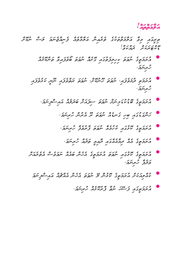#### *އަލާމަތްތައް!*

ތިރީގައި މިވާ އަލާމަތްތަކުގެ ތެރެއިން އަލާމާތެއް ފެނިއްޖެނަމަ ލަސް ނުކޮށް  $5500$ 

- **•**އުރަމަތީގެ ނުވަތަ ކިހިލިފަތުގައި ގޮށެއް ނުވަތަ ބޯވެފައިވާ ތަންކޮޅެއް ژ <sub>بمرس</sub>ری،
- ) כגן כנגז כנגז כנגז כנגז בסגר בריי הסגר בריי הסגר.<br>אמרים בתופצה יישם גייטיתי יישם מספרה יישי טתפקה ژ بر پتریز ،
	- ) ورر ، **بروور ره ورر مرده مدرده مدر شوشر** .<br>المحرومي محلولاتوس
		- مرور دو ۶۶۵ ورد دو ۶۶۵ و مرکزی<br>مسجد دو مرکزی مرکزی مسجد مرکز مرکز *مرکزی مرکزی مرکز*ی
		- **•**އުރަމަތީގެ ކޮޅުގައި ކެހުމެއް ނުވަތަ ފާރުވެފާ ހުރިނަމ،ަ
			- **•**އުރަމަތީގެ އެއް ދިމާއެއްގައި ދާއިމީ ތަދެއް ހުރިނަމ،ަ
- **•**އުރަމަތީގެ ކޮޅުގައި ނުވަތަ އުރަމަތީގެ އެހެން ބައެއް ނަމަވެސް އެތެރެއަށް ر، ء حر تر<br>حرفر فر حر سر تر ا
	- כם ג'ום בג'ו ג'ובכם ג' כונד 2000 שם ג'וד.<br>מה<sub>צהמ</sub>ת הי*נה*פֶ<sub>צ</sub> מינית ב' יינופים הגיית ההימה ההיית יינו
		- ح در د د من د حديد د من من د من المركز.<br>من *حوي د د سر سعي و من د* د من من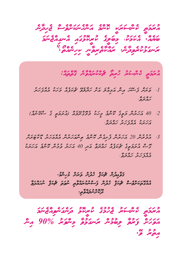*އުރަމަތީ ކެންސަރަކީ ކޮންމެ އަންހެނަކަށްވެސް ޖެހިދާނެ ގެ ކުރީކޮޅުގައި އެނގިއްޖެނަމަ ބަޔެއ.ް އެކަމަކ،ު މިބަލާނ.ެ ރައްކާތެރިވާނީ ކިހިނެއްތޯ؟ ރަނގަޅުކުރެވިދ ީ*

*އުރަމަތީ ކެންސަރު ހުރިތޯ ޗެކްކުރައްވާނެ ގޮތްތައ:ް*

- .<br>1. كالمرس وسن ماكر ماكر ماكر ماكر المرض المحركة المركز المركز والمركز المركز المركز المركز المركز المركز المركز  $\frac{2}{3}$
- $\alpha$   $\alpha$   $\alpha$   $\alpha$   $\alpha$   $\beta$   $\gamma$   $\alpha$   $\beta$   $\alpha$   $\beta$   $\alpha$   $\beta$   $\alpha$   $\beta$   $\alpha$   $\beta$   $\alpha$   $\beta$   $\alpha$   $\beta$   $\alpha$   $\beta$   $\alpha$   $\alpha$ އަހަރަކު އެއްފަހަރު ހައްދަވ.ާ
- .3 އުމުރުން 20 އަހަރުން ފެށިގެން ކޮންމެ ތިންއަހަރުން އެއްއަހަރު ޑޮކްޓަރަށް  $\frac{25}{27}$ <  $\frac{27}{27}$   $\frac{27}{27}$   $\frac{27}{27}$   $\frac{27}{27}$   $\frac{27}{27}$   $\frac{27}{27}$   $\frac{27}{27}$   $\frac{27}{27}$   $\frac{27}{27}$   $\frac{27}{27}$   $\frac{27}{27}$   $\frac{27}{27}$   $\frac{27}{27}$   $\frac{27}{27}$   $\frac{27}{27}$   $\frac{27}{27}$   $\frac{27}{27}$   $\frac{$  $\frac{1}{2}$

*ޤަވާޢިދުން ޗެކަޕް ހެދުން ވަރަށް މުހިންމ.ު އެއްގޮތަކަށްވެސް ޗެކަޕް ހެދުން ފަސްނުކުރައްވާތި ނުވަތަ ޗެކަޕް ނުހައްދަވާ*  <del>در ۱</del>۵۵ و ۵۶۵<br>تو*نا تر سرچ*ريومي

*އުރަމަތީ ކެންސަރު ޖެހުމުގެ ކުރީކޮޅު ދަނެގަނެވިއްޖެނަމަ*  مردة دوم بر<sub>وف</sub>و من دوم 90% مثر مح< نه.<br>مح≠ و∙